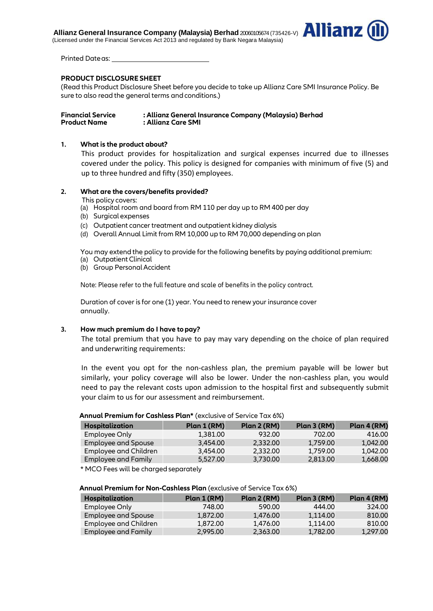**Allianz General Insurance Company (Malaysia)** Berhad 20060105674 (735426-V) **AllianZ** (Licensed under the Financial Services Act 2013 and regulated by Bank Negara Malaysia)



Printed Dateas:

### **PRODUCT DISCLOSURE SHEET**

(Read this Product Disclosure Sheet before you decide to take up Allianz Care SMI Insurance Policy. Be sure to also read the general terms and conditions.)

### **1. What is the product about?**

This product provides for hospitalization and surgical expenses incurred due to illnesses covered under the policy. This policy is designed for companies with minimum of five (5) and up to three hundred and fifty (350) employees.

### **2. What are the covers/benefits provided?**

- This policy covers:
- (a) Hospital room and board from RM 110 per day up to RM 400 per day
- (b) Surgical expenses
- (c) Outpatient cancer treatment and outpatient kidney dialysis
- (d) Overall Annual Limit from RM 10,000 up to RM 70,000 depending on plan

You may extend the policy to provide for the following benefits by paying additional premium:

- (a) Outpatient Clinical
- (b) Group Personal Accident

Note: Please refer to the full feature and scale of benefits in the policy contract.

Duration of cover is for one (1) year. You need to renew your insurance cover annually.

### **3. How much premium do I have topay?**

The total premium that you have to pay may vary depending on the choice of plan required and underwriting requirements:

In the event you opt for the non-cashless plan, the premium payable will be lower but similarly, your policy coverage will also be lower. Under the non-cashless plan, you would need to pay the relevant costs upon admission to the hospital first and subsequently submit your claim to us for our assessment and reimbursement.

### **Annual Premium for Cashless Plan\*** (exclusive of Service Tax 6%)

| <b>Hospitalization</b> | Plan 1 (RM) | Plan 2 (RM) | Plan 3 (RM) | Plan 4 (RM) |
|------------------------|-------------|-------------|-------------|-------------|
| Employee Only          | 1,381.00    | 932.00      | 702.00      | 416.00      |
| Employee and Spouse    | 3,454.00    | 2,332.00    | 1,759.00    | 1.042.00    |
| Employee and Children  | 3,454.00    | 2,332.00    | 1,759.00    | 1.042.00    |
| Employee and Family    | 5,527.00    | 3,730.00    | 2,813.00    | 1,668.00    |

\* MCO Fees will be charged separately

# **Annual Premium for Non-Cashless Plan** (exclusive of Service Tax 6%)

| Hospitalization       | Plan 1 (RM) | Plan2 (RM) | Plan 3 (RM) | Plan 4 (RM) |
|-----------------------|-------------|------------|-------------|-------------|
| Employee Only         | 748.00      | 590.00     | 444.00      | 324.00      |
| Employee and Spouse   | 1,872.00    | 1,476.00   | 1.114.00    | 810.00      |
| Employee and Children | 1,872,00    | 1,476.00   | 1.114.00    | 810.00      |
| Employee and Family   | 2,995.00    | 2,363,00   | 1,782.00    | 1,297.00    |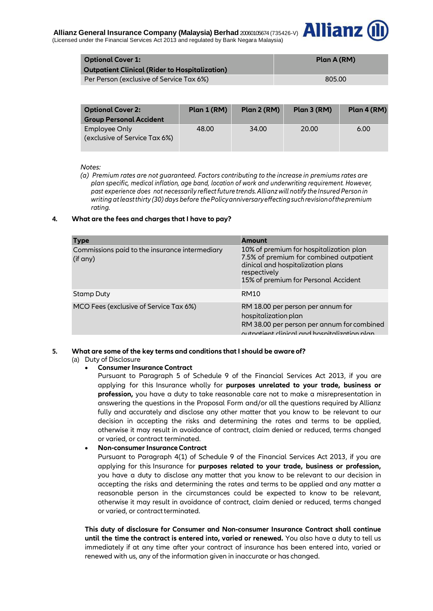

| <b>Optional Cover 1:</b><br><b>Outpatient Clinical (Rider to Hospitalization)</b> | Plan A (RM) |
|-----------------------------------------------------------------------------------|-------------|
| Per Person (exclusive of Service Tax 6%)                                          | 805.00      |

| <b>Optional Cover 2:</b><br><b>Group Personal Accident</b> | Plan 1 (RM) | Plan 2 (RM) | Plan 3 (RM) | Plan 4 (RM) |
|------------------------------------------------------------|-------------|-------------|-------------|-------------|
| Employee Only<br>(exclusive of Service Tax 6%)             | 48.00       | 34.00       | 20.00       | 6.00        |

### *Notes:*

*(a) Premium rates are not guaranteed. Factors contributing to the increase in premiums rates are plan specific, medical inflation, age band, location of work and underwriting requirement. However, past experience does not necessarily reflectfuture trends. Allianz will notify the Insured Person in writing atleastthirty (30) days before thePolicyanniversaryeffectingsuchrevisionofthepremium rating.*

### **4. What are the fees and charges that I have to pay?**

| <b>Type</b>                                                | <b>Amount</b>                                                                                                                                                                   |
|------------------------------------------------------------|---------------------------------------------------------------------------------------------------------------------------------------------------------------------------------|
| Commissions paid to the insurance intermediary<br>(if any) | 10% of premium for hospitalization plan<br>7.5% of premium for combined outpatient<br>dinical and hospitalization plans<br>respectively<br>15% of premium for Personal Accident |
| Stamp Duty                                                 | <b>RM10</b>                                                                                                                                                                     |
| MCO Fees (exclusive of Service Tax 6%)                     | RM 18.00 per person per annum for<br>hospitalization plan<br>RM 38.00 per person per annum for combined<br>outpatient clinical and bospitalization plan                         |

### **5. What are some of the key terms and conditions that I should be aware of?**

(a) Duty of Disclosure

### **Consumer Insurance Contract**

Pursuant to Paragraph 5 of Schedule 9 of the Financial Services Act 2013, if you are applying for this Insurance wholly for **purposes unrelated to your trade, business or profession,** you have a duty to take reasonable care not to make a misrepresentation in answering the questions in the Proposal Form and/or all the questions required by Allianz fully and accurately and disclose any other matter that you know to be relevant to our decision in accepting the risks and determining the rates and terms to be applied, otherwise it may result in avoidance of contract, claim denied or reduced, terms changed or varied, or contract terminated.

**Non-consumer Insurance Contract** 

Pursuant to Paragraph 4(1) of Schedule 9 of the Financial Services Act 2013, if you are applying for this Insurance for **purposes related to your trade, business or profession,** you have a duty to disclose any matter that you know to be relevant to our decision in accepting the risks and determining the rates and terms to be applied and any matter a reasonable person in the circumstances could be expected to know to be relevant, otherwise it may result in avoidance of contract, claim denied or reduced, terms changed or varied, or contract terminated.

**This duty of disclosure for Consumer and Non-consumer Insurance Contract shall continue until the time the contract is entered into, varied or renewed.** You also have a duty to tell us immediately if at any time after your contract of insurance has been entered into, varied or renewed with us, any of the information given in inaccurate or has changed.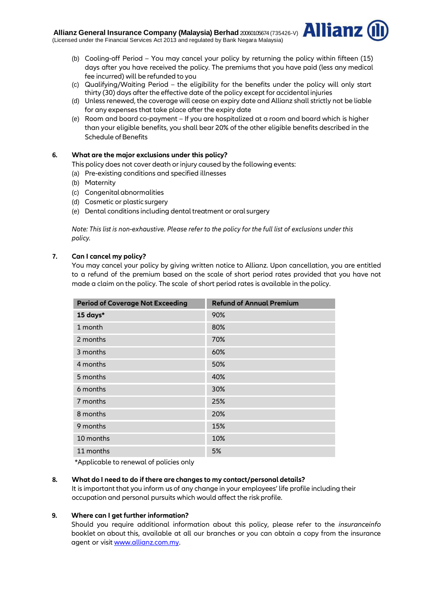

- (b) Cooling-off Period You may cancel your policy by returning the policy within fifteen (15) days after you have received the policy. The premiums that you have paid (less any medical fee incurred) will be refunded to you
- (c) Qualifying/Waiting Period the eligibility for the benefits under the policy will only start thirty (30) days after the effective date of the policy except for accidental injuries
- (d) Unless renewed, the coverage will cease on expiry date and Allianz shall strictly not be liable for any expenses that take place after the expiry date
- (e) Room and board co-payment If you are hospitalized at a room and board which is higher than your eligible benefits, you shall bear 20% of the other eligible benefits described in the Schedule of Benefits

# **6. What are the major exclusions under this policy?**

This policy does not cover death or injury caused by the following events:

- (a) Pre-existing conditions and specified illnesses
- (b) Maternity
- (c) Congenital abnormalities
- (d) Cosmetic or plastic surgery
- (e) Dental conditions including dental treatment or oral surgery

*Note: This list is non-exhaustive. Please refer to the policy for the full list of exclusions under this policy.*

# **7. Can I cancel my policy?**

You may cancel your policy by giving written notice to Allianz. Upon cancellation, you are entitled to a refund of the premium based on the scale of short period rates provided that you have not made a claim on the policy. The scale of short period rates is available in the policy.

| <b>Refund of Annual Premium</b> |
|---------------------------------|
| 90%                             |
| 80%                             |
| 70%                             |
| 60%                             |
| 50%                             |
| 40%                             |
| 30%                             |
| 25%                             |
| 20%                             |
| 15%                             |
| 10%                             |
| 5%                              |
|                                 |

\*Applicable to renewal of policies only

# **8. What do I need to do if there are changes to my contact/personal details?**

It is important that you inform us of any change in your employees' life profile including their occupation and personal pursuits which would affect the risk profile.

# **9. Where can I get further information?**

Should you require additional information about this policy, please refer to the *insuranceinfo*  booklet on about this, available at all our branches or you can obtain a copy from the insurance agent or visit www.allianz.com.my.